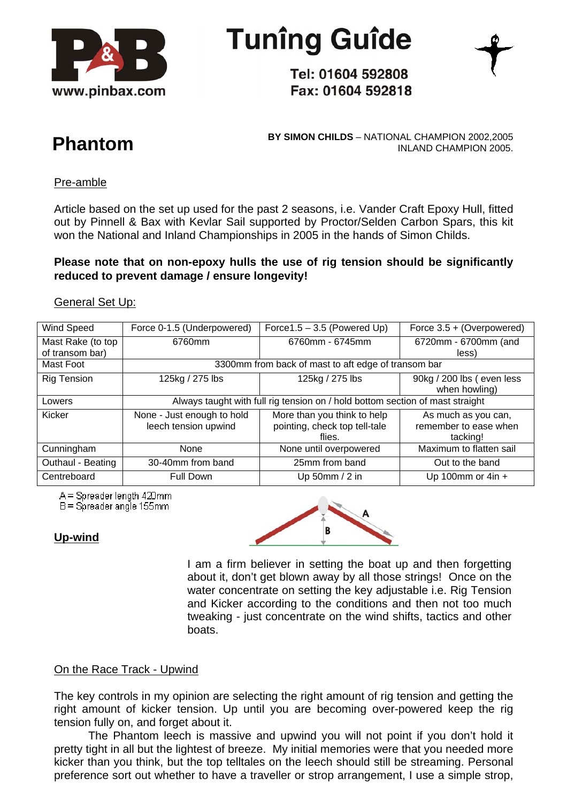

**Tunîng Guîde** 

Tel: 01604 592808 Fax: 01604 592818



**BY SIMON CHILDS** – NATIONAL CHAMPION 2002,2005 **Phantom** INLAND CHAMPION 2005.

## Pre-amble

Article based on the set up used for the past 2 seasons, i.e. Vander Craft Epoxy Hull, fitted out by Pinnell & Bax with Kevlar Sail supported by Proctor/Selden Carbon Spars, this kit won the National and Inland Championships in 2005 in the hands of Simon Childs.

# **Please note that on non-epoxy hulls the use of rig tension should be significantly reduced to prevent damage / ensure longevity!**

#### General Set Up:

| Wind Speed         | Force 0-1.5 (Underpowered)                                                    | Force $1.5 - 3.5$ (Powered Up) | Force 3.5 + (Overpowered) |
|--------------------|-------------------------------------------------------------------------------|--------------------------------|---------------------------|
| Mast Rake (to top  | 6760mm                                                                        | 6760mm - 6745mm                | 6720mm - 6700mm (and      |
| of transom bar)    |                                                                               |                                | less)                     |
| Mast Foot          | 3300mm from back of mast to aft edge of transom bar                           |                                |                           |
| <b>Rig Tension</b> | 125kg / 275 lbs                                                               | 125kg / 275 lbs                | 90kg / 200 lbs (even less |
|                    |                                                                               |                                | when howling)             |
| Lowers             | Always taught with full rig tension on / hold bottom section of mast straight |                                |                           |
| Kicker             | None - Just enough to hold                                                    | More than you think to help    | As much as you can,       |
|                    | leech tension upwind                                                          | pointing, check top tell-tale  | remember to ease when     |
|                    |                                                                               | flies.                         | tacking!                  |
| Cunningham         | <b>None</b>                                                                   | None until overpowered         | Maximum to flatten sail   |
| Outhaul - Beating  | 30-40mm from band                                                             | 25mm from band                 | Out to the band           |
| Centreboard        | <b>Full Down</b>                                                              | Up 50mm / $2$ in               | Up 100mm or $4in +$       |

A = Spreader length 420mm

 $B =$ Spreader angle 155mm

## **Up-wind**



I am a firm believer in setting the boat up and then forgetting about it, don't get blown away by all those strings! Once on the water concentrate on setting the key adjustable i.e. Rig Tension and Kicker according to the conditions and then not too much tweaking - just concentrate on the wind shifts, tactics and other boats.

## On the Race Track - Upwind

The key controls in my opinion are selecting the right amount of rig tension and getting the right amount of kicker tension. Up until you are becoming over-powered keep the rig tension fully on, and forget about it.

The Phantom leech is massive and upwind you will not point if you don't hold it pretty tight in all but the lightest of breeze. My initial memories were that you needed more kicker than you think, but the top telltales on the leech should still be streaming. Personal preference sort out whether to have a traveller or strop arrangement, I use a simple strop,